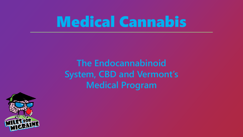## Medical Cannabis

**The Endocannabinoid System, CBD and Vermont's Medical Program**

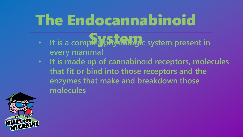## The Endocannabinoid

- It is a complex physiologic system present in **every mammal**
- **It is made up of cannabinoid receptors, molecules that fit or bind into those receptors and the enzymes that make and breakdown those molecules**

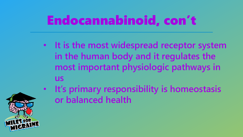### Endocannabinoid, con't

- **It is the most widespread receptor system in the human body and it regulates the most important physiologic pathways in us**
- **It's primary responsibility is homeostasis or balanced health**

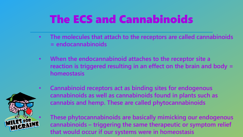#### The ECS and Cannabinoids

- **The molecules that attach to the receptors are called cannabinoids = endocannabinoids**
- **When the endocannabinoid attaches to the receptor site a reaction is triggered resulting in an effect on the brain and body = homeostasis**



• **Cannabinoid receptors act as binding sites for endogenous cannabinoids as well as cannabinoids found in plants such as cannabis and hemp. These are called phytocannabinoids**

• **These phytocannabinoids are basically mimicking our endogenous cannabinoids – triggering the same therapeutic or symptom relief that would occur if our systems were in homeostasis**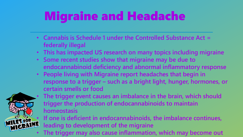### Migraine and Headache

- **Cannabis is Schedule 1 under the Controlled Substance Act = federally illegal**
- **This has impacted US research on many topics including migraine**
- **Some recent studies show that migraine may be due to endocannabinoid deficiency and abnormal inflammatory response**
- **People living with Migraine report headaches that begin in response to a trigger – such as a bright light, hunger, hormones, or certain smells or food**



- **The trigger event causes an imbalance in the brain, which should trigger the production of endocannabinoids to maintain homeostasis**
- **If one is deficient in endocannabinoids, the imbalance continues, leading to development of the migraine**
- **The trigger may also cause inflammation, which may become out**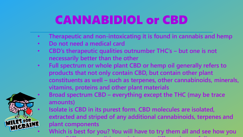#### CANNABIDIOL or CBD

- **Therapeutic and non-intoxicating it is found in cannabis and hemp**
- **Do not need a medical card**
- **CBD's therapeutic qualities outnumber THC's – but one is not necessarily better than the other**
- **Full spectrum or whole plant CBD or hemp oil generally refers to products that not only contain CBD, but contain other plant constituents as well – such as terpenes, other cannabinoids, minerals, vitamins, proteins and other plant materials** • **Broad spectrum CBD – everything except the THC (may be trace amounts)**

• **Isolate is CBD in its purest form. CBD molecules are isolated, extracted and striped of any additional cannabinoids, terpenes and plant components EXAMPLE STOR EXTRACTED IS A SET FOR SET ON A SET ON A SET ON SET ON SET ON SET ON SET OF STATISTIC PAINT.**<br> **WHICRAINE** Which is best for you? You will have to try them all and see how you

**react. Different conditions might react differently to a full spectrum**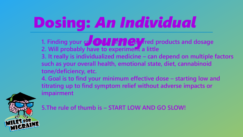# Dosing: *An Individual*

- **1. Finding your correct straining and dosage 1. Finding your correct straining and dosage 1. Will probably have to experiment a little**
- **3. It really is individualized medicine – can depend on multiple factors such as your overall health, emotional state, diet, cannabinoid tone/deficiency, etc.**
- **4. Goal is to find your minimum effective dose – starting low and titrating up to find symptom relief without adverse impacts or impairment**



**5.The rule of thumb is – START LOW AND GO SLOW!**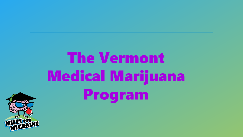

# The Vermont Medical Marijuana Program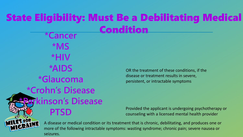#### State Eligibility: Must Be a Debilitating Medical Condition **\*Cancer**

**\*MS \*HIV \*AIDS \*Glaucoma \*Crohn's Disease** *<u><b>irkinson's Disease*</u> **PTSD**

OR the treatment of these conditions, if the disease or treatment results in severe, persistent, or intractable symptoms

Provided the applicant is undergoing psychotherapy or counseling with a licensed mental health provider



A disease or medical condition or its treatment that is chronic, debilitating, and produces one or more of the following intractable symptoms: wasting syndrome; chronic pain; severe nausea or seizures.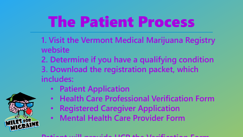## The Patient Process

- **1. Visit the Vermont Medical Marijuana Registry website**
- **2. Determine if you have a qualifying condition 3. Download the registration packet, which includes:**
	- **Patient Application**
	- **Health Care Professional Verification Form**
	- **Registered Caregiver Application**
	- **Mental Health Care Provider Form**

#### **Patient will provide HCP the Verification Form**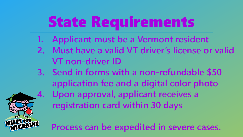# State Requirements

- **1. Applicant must be a Vermont resident**
- **2. Must have a valid VT driver's license or valid VT non-driver ID**
- **3. Send in forms with a non-refundable \$50 application fee and a digital color photo 4. Upon approval, applicant receives a registration card within 30 days**

**Process can be expedited in severe cases.**

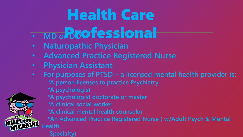## Health Care

- MD o**BBOfessional**
- **Naturopathic Physician**
- **Advanced Practice Registered Nurse**
- **Physician Assistant**
- **For purposes of PTSD – a licensed mental health provider is:**
	- **\*A person licenses to practice Psychiatry**
	- **\*A psychologist**
	- **\*A psychologist doctorate or master**
	- **\*A clinical social worker**
	- **\*A clinical mental health counselor**

**\*An Advanced Practice Registered Nurse ( w/Adult Psych & Mental Health**

**Specialty)**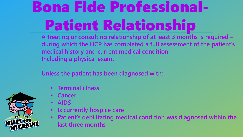## Bona Fide Professional-Patient Relationship

**A treating or consulting relationship of at least 3 months is required – during which the HCP has completed a full assessment of the patient's medical history and current medical condition, Including a physical exam.**

**Unless the patient has been diagnosed with:**

- **Terminal illness**
- **Cancer**
- **AIDS**
- **Is currently hospice care**
- **Patient's debilitating medical condition was diagnosed within the last three months**

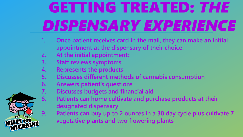# GETTING TREATED: *THE DISPENSARY EXPERIENCE*

- **1. Once patient receives card in the mail, they can make an initial appointment at the dispensary of their choice.**
- **2. At the initial appointment:**
- **3. Staff reviews symptoms**
- **4. Represents the products**
- **5. Discusses different methods of cannabis consumption**
- **6. Answers patient's questions**
- **7. Discusses budgets and financial aid**
- **8. Patients can home cultivate and purchase products at their designated dispensary**
- **9. Patients can buy up to 2 ounces in a 30 day cycle plus cultivate 7 vegetative plants and two flowering plants**